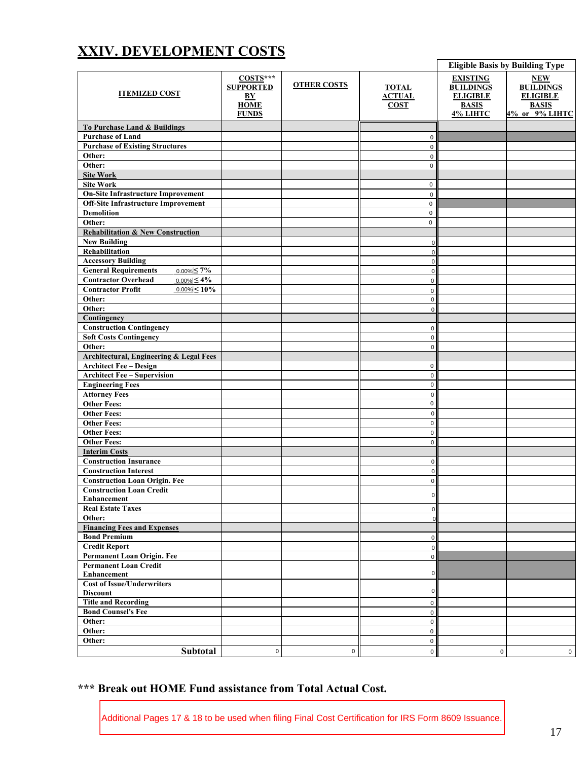## **XXIV. DEVELOPMENT COSTS**

| <b>ITEMIZED COST</b>                               | $COSTS***$<br><b>SUPPORTED</b><br>BY<br><b>HOME</b><br><b>FUNDS</b> | <b>OTHER COSTS</b> | <b>TOTAL</b><br><b>ACTUAL</b><br><b>COST</b> | <b>EXISTING</b><br><b>BUILDINGS</b><br><b>ELIGIBLE</b><br><b>BASIS</b><br>4% LIHTC | <b>NEW</b><br><b>BUILDINGS</b><br><b>ELIGIBLE</b><br><b>BASIS</b><br>4% or 9% LIHTC |  |  |  |
|----------------------------------------------------|---------------------------------------------------------------------|--------------------|----------------------------------------------|------------------------------------------------------------------------------------|-------------------------------------------------------------------------------------|--|--|--|
| To Purchase Land & Buildings                       |                                                                     |                    |                                              |                                                                                    |                                                                                     |  |  |  |
| <b>Purchase of Land</b>                            |                                                                     |                    | $\mathsf 0$                                  |                                                                                    |                                                                                     |  |  |  |
| <b>Purchase of Existing Structures</b>             |                                                                     |                    | $\mathsf 0$                                  |                                                                                    |                                                                                     |  |  |  |
| Other:                                             |                                                                     |                    |                                              |                                                                                    |                                                                                     |  |  |  |
| Other:                                             |                                                                     |                    | $\mathsf 0$<br>$\mathbf{0}$                  |                                                                                    |                                                                                     |  |  |  |
|                                                    |                                                                     |                    |                                              |                                                                                    |                                                                                     |  |  |  |
| <b>Site Work</b>                                   |                                                                     |                    |                                              |                                                                                    |                                                                                     |  |  |  |
| <b>Site Work</b>                                   |                                                                     |                    | $\mathbf 0$                                  |                                                                                    |                                                                                     |  |  |  |
| <b>On-Site Infrastructure Improvement</b>          |                                                                     |                    | $\mathsf 0$                                  |                                                                                    |                                                                                     |  |  |  |
| <b>Off-Site Infrastructure Improvement</b>         |                                                                     |                    | $\pmb{0}$                                    |                                                                                    |                                                                                     |  |  |  |
| <b>Demolition</b>                                  |                                                                     |                    | $\pmb{0}$                                    |                                                                                    |                                                                                     |  |  |  |
| Other:                                             |                                                                     |                    | $\pmb{0}$                                    |                                                                                    |                                                                                     |  |  |  |
| <b>Rehabilitation &amp; New Construction</b>       |                                                                     |                    |                                              |                                                                                    |                                                                                     |  |  |  |
| <b>New Building</b>                                |                                                                     |                    | $\mathbf 0$                                  |                                                                                    |                                                                                     |  |  |  |
| Rehabilitation                                     |                                                                     |                    | $\mathbf 0$                                  |                                                                                    |                                                                                     |  |  |  |
| <b>Accessory Building</b>                          |                                                                     |                    | $\mathsf 0$                                  |                                                                                    |                                                                                     |  |  |  |
| <b>General Requirements</b><br>$0.00\% \le 7\%$    |                                                                     |                    | $\pmb{0}$                                    |                                                                                    |                                                                                     |  |  |  |
| <b>Contractor Overhead</b><br>$0.00\% \leq 4\%$    |                                                                     |                    | $\mathbf 0$                                  |                                                                                    |                                                                                     |  |  |  |
| $0.00\% < 10\%$<br><b>Contractor Profit</b>        |                                                                     |                    | $\mathsf 0$                                  |                                                                                    |                                                                                     |  |  |  |
| Other:                                             |                                                                     |                    | $\mathbf 0$                                  |                                                                                    |                                                                                     |  |  |  |
| Other:                                             |                                                                     |                    | $\mathsf 0$                                  |                                                                                    |                                                                                     |  |  |  |
| Contingency                                        |                                                                     |                    |                                              |                                                                                    |                                                                                     |  |  |  |
| <b>Construction Contingency</b>                    |                                                                     |                    |                                              |                                                                                    |                                                                                     |  |  |  |
|                                                    |                                                                     |                    | 0                                            |                                                                                    |                                                                                     |  |  |  |
| <b>Soft Costs Contingency</b>                      |                                                                     |                    | 0                                            |                                                                                    |                                                                                     |  |  |  |
| Other:                                             |                                                                     |                    | $\mathsf 0$                                  |                                                                                    |                                                                                     |  |  |  |
| <b>Architectural, Engineering &amp; Legal Fees</b> |                                                                     |                    |                                              |                                                                                    |                                                                                     |  |  |  |
| <b>Architect Fee - Design</b>                      |                                                                     |                    | $\mathbf 0$                                  |                                                                                    |                                                                                     |  |  |  |
| <b>Architect Fee - Supervision</b>                 |                                                                     |                    | $\mathsf 0$                                  |                                                                                    |                                                                                     |  |  |  |
| <b>Engineering Fees</b>                            |                                                                     |                    | $\mathbf 0$                                  |                                                                                    |                                                                                     |  |  |  |
| <b>Attorney Fees</b>                               |                                                                     |                    | $\mathbf 0$                                  |                                                                                    |                                                                                     |  |  |  |
| <b>Other Fees:</b>                                 |                                                                     |                    | $\mathsf 0$                                  |                                                                                    |                                                                                     |  |  |  |
| <b>Other Fees:</b>                                 |                                                                     |                    | $\mathsf{O}\xspace$                          |                                                                                    |                                                                                     |  |  |  |
| <b>Other Fees:</b>                                 |                                                                     |                    | $\mathsf 0$                                  |                                                                                    |                                                                                     |  |  |  |
| <b>Other Fees:</b>                                 |                                                                     |                    | $\mathbf 0$                                  |                                                                                    |                                                                                     |  |  |  |
| <b>Other Fees:</b>                                 |                                                                     |                    | $\mathbf{0}$                                 |                                                                                    |                                                                                     |  |  |  |
| <b>Interim Costs</b>                               |                                                                     |                    |                                              |                                                                                    |                                                                                     |  |  |  |
| <b>Construction Insurance</b>                      |                                                                     |                    | $\mathbf 0$                                  |                                                                                    |                                                                                     |  |  |  |
| <b>Construction Interest</b>                       |                                                                     |                    | $\pmb{0}$                                    |                                                                                    |                                                                                     |  |  |  |
| <b>Construction Loan Origin. Fee</b>               |                                                                     |                    | $\mathsf 0$                                  |                                                                                    |                                                                                     |  |  |  |
| <b>Construction Loan Credit</b>                    |                                                                     |                    |                                              |                                                                                    |                                                                                     |  |  |  |
| <b>Enhancement</b>                                 |                                                                     |                    | $\mathsf{o}\xspace$                          |                                                                                    |                                                                                     |  |  |  |
| <b>Real Estate Taxes</b>                           |                                                                     |                    | $\mathbf 0$                                  |                                                                                    |                                                                                     |  |  |  |
| Other:                                             |                                                                     |                    | $\overline{0}$                               |                                                                                    |                                                                                     |  |  |  |
| <b>Financing Fees and Expenses</b>                 |                                                                     |                    |                                              |                                                                                    |                                                                                     |  |  |  |
| <b>Bond Premium</b>                                |                                                                     |                    |                                              |                                                                                    |                                                                                     |  |  |  |
|                                                    |                                                                     |                    | 0                                            |                                                                                    |                                                                                     |  |  |  |
| <b>Credit Report</b>                               |                                                                     |                    | $\mathbf 0$                                  |                                                                                    |                                                                                     |  |  |  |
| Permanent Loan Origin. Fee                         |                                                                     |                    | $\mathsf 0$                                  |                                                                                    |                                                                                     |  |  |  |
| <b>Permanent Loan Credit</b>                       |                                                                     |                    | $\mathbf 0$                                  |                                                                                    |                                                                                     |  |  |  |
| <b>Enhancement</b>                                 |                                                                     |                    |                                              |                                                                                    |                                                                                     |  |  |  |
| <b>Cost of Issue/Underwriters</b>                  |                                                                     |                    | $\overline{0}$                               |                                                                                    |                                                                                     |  |  |  |
| <b>Discount</b>                                    |                                                                     |                    |                                              |                                                                                    |                                                                                     |  |  |  |
| <b>Title and Recording</b>                         |                                                                     |                    | $\mathbf 0$                                  |                                                                                    |                                                                                     |  |  |  |
| <b>Bond Counsel's Fee</b>                          |                                                                     |                    | $\mathsf 0$                                  |                                                                                    |                                                                                     |  |  |  |
| Other:                                             |                                                                     |                    | $\mathsf 0$                                  |                                                                                    |                                                                                     |  |  |  |
| Other:                                             |                                                                     |                    | $\mathbf 0$                                  |                                                                                    |                                                                                     |  |  |  |
| Other:                                             |                                                                     |                    | $\mathsf 0$                                  |                                                                                    |                                                                                     |  |  |  |
| Subtotal                                           | $\mathbf 0$                                                         | 0                  | $\circ$                                      | $\mathbf{0}$                                                                       | $\mathbf 0$                                                                         |  |  |  |
|                                                    |                                                                     |                    |                                              |                                                                                    |                                                                                     |  |  |  |

## **\*\*\* Break out HOME Fund assistance from Total Actual Cost.**

Additional Pages 17 & 18 to be used when filing Final Cost Certification for IRS Form 8609 Issuance.